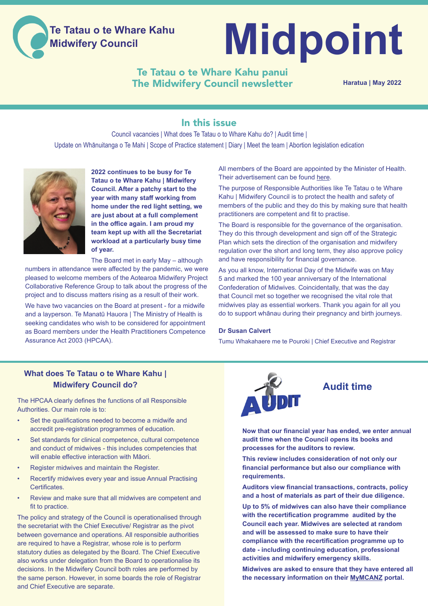

# **Midpoint**

# Te Tatau o te Whare Kahu panui The Midwifery Council newsletter

**Haratua | May 2022**

# In this issue

Council vacancies | What does Te Tatau o to Whare Kahu do? | Audit time | Update on Whānuitanga o Te Mahi | Scope of Practice statement | Diary | Meet the team | Abortion legislation edication



**2022 continues to be busy for Te Tatau o te Whare Kahu | Midwifery Council. After a patchy start to the year with many staff working from home under the red light setting, we are just about at a full complement in the office again. I am proud my team kept up with all the Secretariat workload at a particularly busy time of year.**

The Board met in early May – although

numbers in attendance were affected by the pandemic, we were pleased to welcome members of the Aotearoa Midwifery Project Collaborative Reference Group to talk about the progress of the project and to discuss matters rising as a result of their work.

We have two vacancies on the Board at present - for a midwife and a layperson. Te Manatū Hauora | The Ministry of Health is seeking candidates who wish to be considered for appointment as Board members under the Health Practitioners Competence Assurance Act 2003 (HPCAA).

All members of the Board are appointed by the Minister of Health. Their advertisement can be found [here](https://jobs.govt.nz/jobs/MOH-1624821).

The purpose of Responsible Authorities like Te Tatau o te Whare Kahu | Midwifery Council is to protect the health and safety of members of the public and they do this by making sure that health practitioners are competent and fit to practise.

The Board is responsible for the governance of the organisation. They do this through development and sign off of the Strategic Plan which sets the direction of the organisation and midwifery regulation over the short and long term, they also approve policy and have responsibility for financial governance.

As you all know, International Day of the Midwife was on May 5 and marked the 100 year anniversary of the International Confederation of Midwives. Coincidentally, that was the day that Council met so together we recognised the vital role that midwives play as essential workers. Thank you again for all you do to support whānau during their pregnancy and birth journeys.

#### **Dr Susan Calvert**

Tumu Whakahaere me te Pouroki | Chief Executive and Registrar

#### **What does Te Tatau o te Whare Kahu | Midwifery Council do?**

The HPCAA clearly defines the functions of all Responsible Authorities. Our main role is to:

- Set the qualifications needed to become a midwife and accredit pre-registration programmes of education.
- Set standards for clinical competence, cultural competence and conduct of midwives - this includes competencies that will enable effective interaction with Māori.
- Register midwives and maintain the Register.
- Recertify midwives every year and issue Annual Practising Certificates.
- Review and make sure that all midwives are competent and fit to practice.

The policy and strategy of the Council is operationalised through the secretariat with the Chief Executive/ Registrar as the pivot between governance and operations. All responsible authorities are required to have a Registrar, whose role is to perform statutory duties as delegated by the Board. The Chief Executive also works under delegation from the Board to operationalise its decisions. In the Midwifery Council both roles are performed by the same person. However, in some boards the role of Registrar and Chief Executive are separate.



# **Audit time**

**Now that our financial year has ended, we enter annual audit time when the Council opens its books and processes for the auditors to review.** 

**This review includes consideration of not only our financial performance but also our compliance with requirements.** 

**Auditors view financial transactions, contracts, policy and a host of materials as part of their due diligence.** 

**Up to 5% of midwives can also have their compliance with the recertification programme audited by the Council each year. Midwives are selected at random and will be assessed to make sure to have their compliance with the recertification programme up to date - including continuing education, professional activities and midwifery emergency skills.** 

**Midwives are asked to ensure that they have entered all the necessary information on their [MyMCANZ](https://midwiferycouncil.health.nz/MyMCANZ/Contact_Management/Sign_In.aspx?) portal.**